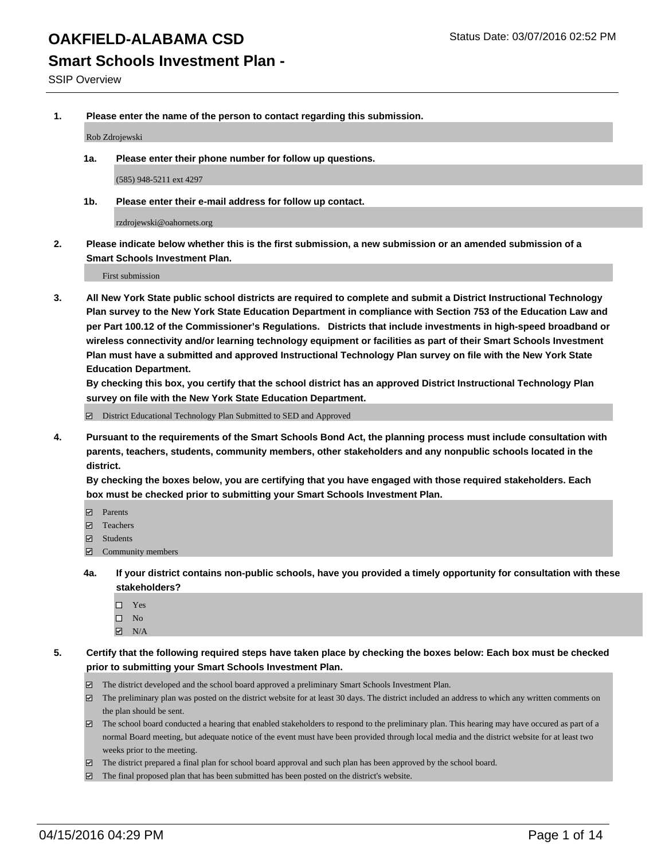**Smart Schools Investment Plan -**

SSIP Overview

**1. Please enter the name of the person to contact regarding this submission.**

Rob Zdrojewski

**1a. Please enter their phone number for follow up questions.**

(585) 948-5211 ext 4297

**1b. Please enter their e-mail address for follow up contact.**

rzdrojewski@oahornets.org

**2. Please indicate below whether this is the first submission, a new submission or an amended submission of a Smart Schools Investment Plan.**

First submission

**3. All New York State public school districts are required to complete and submit a District Instructional Technology Plan survey to the New York State Education Department in compliance with Section 753 of the Education Law and per Part 100.12 of the Commissioner's Regulations. Districts that include investments in high-speed broadband or wireless connectivity and/or learning technology equipment or facilities as part of their Smart Schools Investment Plan must have a submitted and approved Instructional Technology Plan survey on file with the New York State Education Department.** 

**By checking this box, you certify that the school district has an approved District Instructional Technology Plan survey on file with the New York State Education Department.**

■ District Educational Technology Plan Submitted to SED and Approved

**4. Pursuant to the requirements of the Smart Schools Bond Act, the planning process must include consultation with parents, teachers, students, community members, other stakeholders and any nonpublic schools located in the district.** 

**By checking the boxes below, you are certifying that you have engaged with those required stakeholders. Each box must be checked prior to submitting your Smart Schools Investment Plan.**

- **Parents**
- □ Teachers
- Students
- $\boxdot$  Community members
- **4a. If your district contains non-public schools, have you provided a timely opportunity for consultation with these stakeholders?**
	- □ Yes
	- $\square$  No
	- $\boxtimes$  N/A
- **5. Certify that the following required steps have taken place by checking the boxes below: Each box must be checked prior to submitting your Smart Schools Investment Plan.**
	- The district developed and the school board approved a preliminary Smart Schools Investment Plan.
	- The preliminary plan was posted on the district website for at least 30 days. The district included an address to which any written comments on the plan should be sent.
	- $\Box$  The school board conducted a hearing that enabled stakeholders to respond to the preliminary plan. This hearing may have occured as part of a normal Board meeting, but adequate notice of the event must have been provided through local media and the district website for at least two weeks prior to the meeting.
	- The district prepared a final plan for school board approval and such plan has been approved by the school board.
	- The final proposed plan that has been submitted has been posted on the district's website.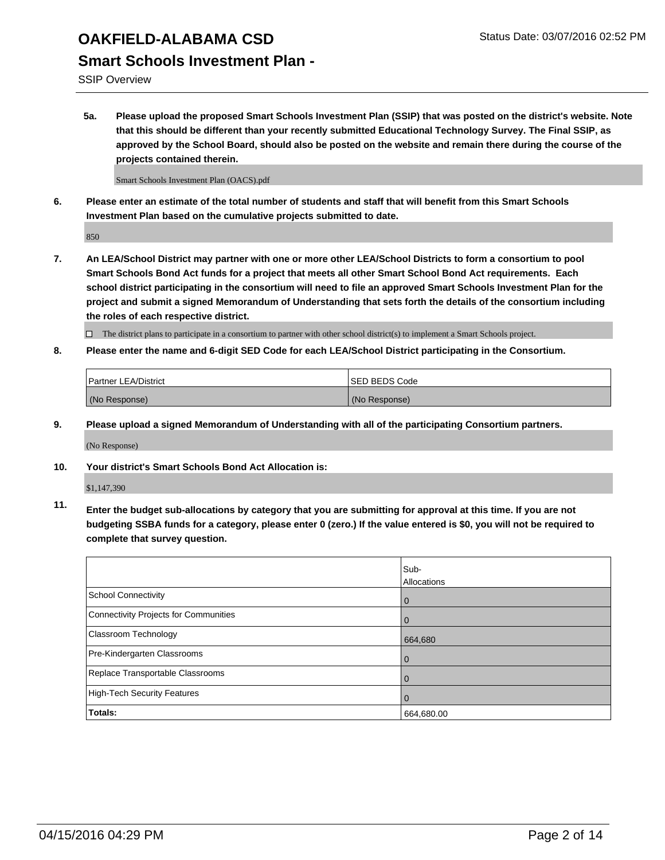#### **Smart Schools Investment Plan -**

SSIP Overview

**5a. Please upload the proposed Smart Schools Investment Plan (SSIP) that was posted on the district's website. Note that this should be different than your recently submitted Educational Technology Survey. The Final SSIP, as approved by the School Board, should also be posted on the website and remain there during the course of the projects contained therein.**

Smart Schools Investment Plan (OACS).pdf

**6. Please enter an estimate of the total number of students and staff that will benefit from this Smart Schools Investment Plan based on the cumulative projects submitted to date.**

850

**7. An LEA/School District may partner with one or more other LEA/School Districts to form a consortium to pool Smart Schools Bond Act funds for a project that meets all other Smart School Bond Act requirements. Each school district participating in the consortium will need to file an approved Smart Schools Investment Plan for the project and submit a signed Memorandum of Understanding that sets forth the details of the consortium including the roles of each respective district.**

 $\Box$  The district plans to participate in a consortium to partner with other school district(s) to implement a Smart Schools project.

**8. Please enter the name and 6-digit SED Code for each LEA/School District participating in the Consortium.**

| Partner LEA/District | <b>ISED BEDS Code</b> |
|----------------------|-----------------------|
| (No Response)        | (No Response)         |

**9. Please upload a signed Memorandum of Understanding with all of the participating Consortium partners.**

(No Response)

**10. Your district's Smart Schools Bond Act Allocation is:**

\$1,147,390

**11. Enter the budget sub-allocations by category that you are submitting for approval at this time. If you are not budgeting SSBA funds for a category, please enter 0 (zero.) If the value entered is \$0, you will not be required to complete that survey question.**

|                                       | Sub-<br>Allocations |
|---------------------------------------|---------------------|
| School Connectivity                   | $\mathbf 0$         |
| Connectivity Projects for Communities |                     |
| Classroom Technology                  | 664,680             |
| Pre-Kindergarten Classrooms           | $\Omega$            |
| Replace Transportable Classrooms      | Û                   |
| High-Tech Security Features           |                     |
| <b>Totals:</b>                        | 664,680.00          |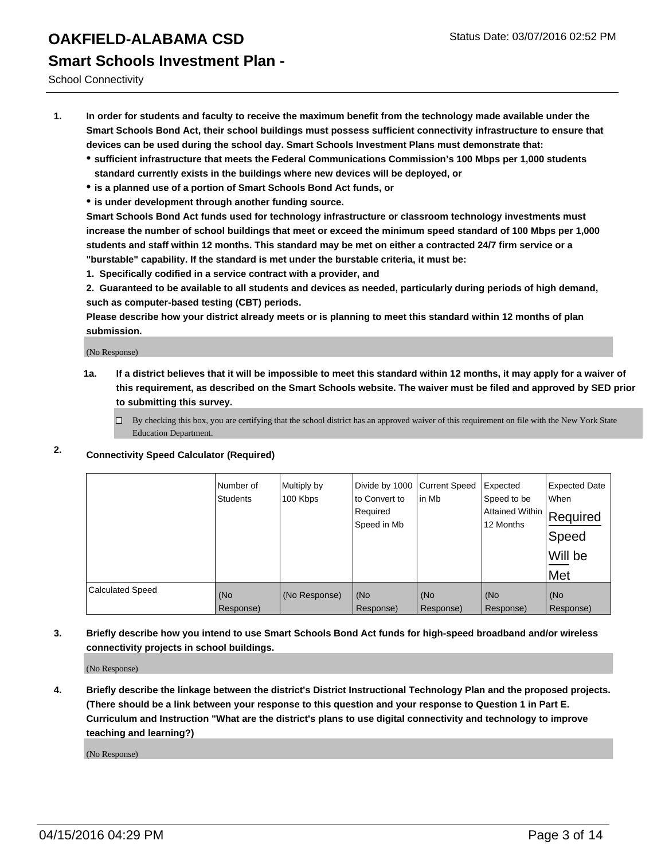School Connectivity

- **1. In order for students and faculty to receive the maximum benefit from the technology made available under the Smart Schools Bond Act, their school buildings must possess sufficient connectivity infrastructure to ensure that devices can be used during the school day. Smart Schools Investment Plans must demonstrate that:**
	- **sufficient infrastructure that meets the Federal Communications Commission's 100 Mbps per 1,000 students standard currently exists in the buildings where new devices will be deployed, or**
	- **is a planned use of a portion of Smart Schools Bond Act funds, or**
	- **is under development through another funding source.**

**Smart Schools Bond Act funds used for technology infrastructure or classroom technology investments must increase the number of school buildings that meet or exceed the minimum speed standard of 100 Mbps per 1,000 students and staff within 12 months. This standard may be met on either a contracted 24/7 firm service or a "burstable" capability. If the standard is met under the burstable criteria, it must be:**

**1. Specifically codified in a service contract with a provider, and**

**2. Guaranteed to be available to all students and devices as needed, particularly during periods of high demand, such as computer-based testing (CBT) periods.**

**Please describe how your district already meets or is planning to meet this standard within 12 months of plan submission.**

(No Response)

- **1a. If a district believes that it will be impossible to meet this standard within 12 months, it may apply for a waiver of this requirement, as described on the Smart Schools website. The waiver must be filed and approved by SED prior to submitting this survey.**
	- □ By checking this box, you are certifying that the school district has an approved waiver of this requirement on file with the New York State Education Department.
- **2. Connectivity Speed Calculator (Required)**

|                         | Number of<br>Students | Multiply by<br>100 Kbps | Divide by 1000<br>to Convert to<br>Required<br>Speed in Mb | <b>Current Speed</b><br>in Mb | Expected<br>Speed to be<br> Attained Within   Required<br>12 Months | <b>Expected Date</b><br>When<br>Speed<br>Will be<br>Met |
|-------------------------|-----------------------|-------------------------|------------------------------------------------------------|-------------------------------|---------------------------------------------------------------------|---------------------------------------------------------|
| <b>Calculated Speed</b> | (No                   | (No Response)           | (No                                                        | (No                           | (No                                                                 | (No                                                     |
|                         | Response)             |                         | Response)                                                  | Response)                     | Response)                                                           | Response)                                               |

**3. Briefly describe how you intend to use Smart Schools Bond Act funds for high-speed broadband and/or wireless connectivity projects in school buildings.**

(No Response)

**4. Briefly describe the linkage between the district's District Instructional Technology Plan and the proposed projects. (There should be a link between your response to this question and your response to Question 1 in Part E. Curriculum and Instruction "What are the district's plans to use digital connectivity and technology to improve teaching and learning?)**

(No Response)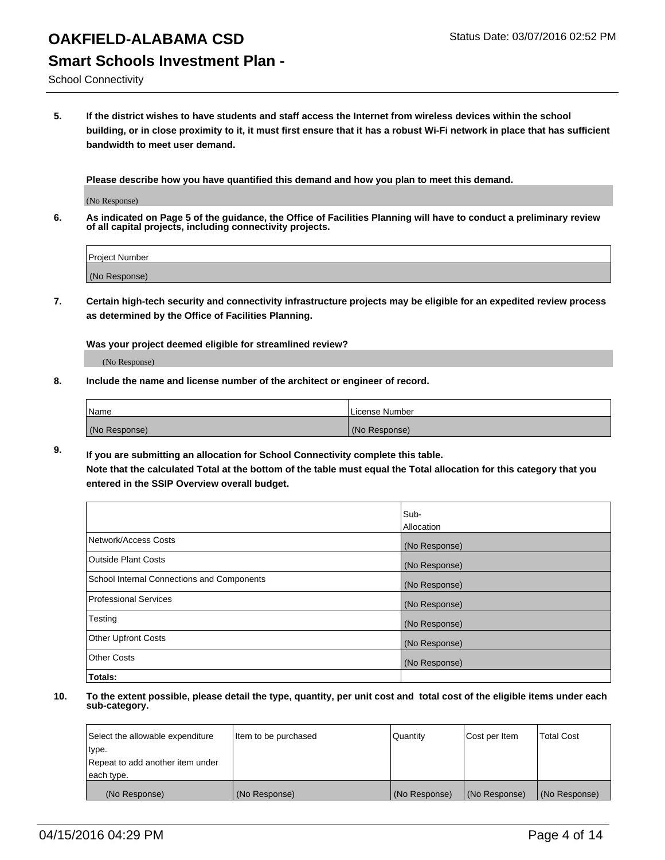School Connectivity

**5. If the district wishes to have students and staff access the Internet from wireless devices within the school building, or in close proximity to it, it must first ensure that it has a robust Wi-Fi network in place that has sufficient bandwidth to meet user demand.**

**Please describe how you have quantified this demand and how you plan to meet this demand.**

(No Response)

**6. As indicated on Page 5 of the guidance, the Office of Facilities Planning will have to conduct a preliminary review of all capital projects, including connectivity projects.**

| <b>Project Number</b> |  |
|-----------------------|--|
| (No Response)         |  |

**7. Certain high-tech security and connectivity infrastructure projects may be eligible for an expedited review process as determined by the Office of Facilities Planning.**

**Was your project deemed eligible for streamlined review?**

(No Response)

**8. Include the name and license number of the architect or engineer of record.**

| Name          | License Number |
|---------------|----------------|
| (No Response) | (No Response)  |

**9. If you are submitting an allocation for School Connectivity complete this table. Note that the calculated Total at the bottom of the table must equal the Total allocation for this category that you entered in the SSIP Overview overall budget.** 

|                                            | Sub-          |
|--------------------------------------------|---------------|
|                                            | Allocation    |
| Network/Access Costs                       | (No Response) |
| <b>Outside Plant Costs</b>                 | (No Response) |
| School Internal Connections and Components | (No Response) |
| <b>Professional Services</b>               | (No Response) |
| Testing                                    | (No Response) |
| <b>Other Upfront Costs</b>                 | (No Response) |
| <b>Other Costs</b>                         | (No Response) |
| Totals:                                    |               |

| Select the allowable expenditure | Item to be purchased | Quantity      | Cost per Item | <b>Total Cost</b> |
|----------------------------------|----------------------|---------------|---------------|-------------------|
| type.                            |                      |               |               |                   |
| Repeat to add another item under |                      |               |               |                   |
| each type.                       |                      |               |               |                   |
| (No Response)                    | (No Response)        | (No Response) | (No Response) | (No Response)     |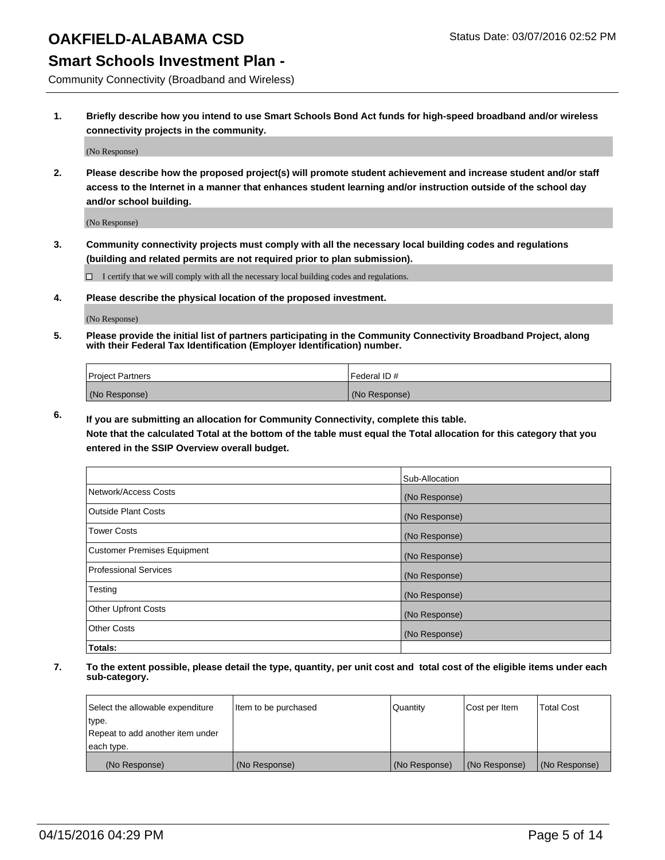#### **Smart Schools Investment Plan -**

Community Connectivity (Broadband and Wireless)

**1. Briefly describe how you intend to use Smart Schools Bond Act funds for high-speed broadband and/or wireless connectivity projects in the community.**

(No Response)

**2. Please describe how the proposed project(s) will promote student achievement and increase student and/or staff access to the Internet in a manner that enhances student learning and/or instruction outside of the school day and/or school building.**

(No Response)

**3. Community connectivity projects must comply with all the necessary local building codes and regulations (building and related permits are not required prior to plan submission).**

 $\Box$  I certify that we will comply with all the necessary local building codes and regulations.

**4. Please describe the physical location of the proposed investment.**

(No Response)

**5. Please provide the initial list of partners participating in the Community Connectivity Broadband Project, along with their Federal Tax Identification (Employer Identification) number.**

| <b>Project Partners</b> | <b>IFederal ID#</b> |
|-------------------------|---------------------|
| (No Response)           | (No Response)       |

**6. If you are submitting an allocation for Community Connectivity, complete this table.**

**Note that the calculated Total at the bottom of the table must equal the Total allocation for this category that you entered in the SSIP Overview overall budget.**

|                                    | Sub-Allocation |
|------------------------------------|----------------|
| Network/Access Costs               | (No Response)  |
| <b>Outside Plant Costs</b>         | (No Response)  |
| <b>Tower Costs</b>                 | (No Response)  |
| <b>Customer Premises Equipment</b> | (No Response)  |
| <b>Professional Services</b>       | (No Response)  |
| Testing                            | (No Response)  |
| Other Upfront Costs                | (No Response)  |
| <b>Other Costs</b>                 | (No Response)  |
| Totals:                            |                |

| Select the allowable expenditure | litem to be purchased | Quantity      | Cost per Item | <b>Total Cost</b> |
|----------------------------------|-----------------------|---------------|---------------|-------------------|
| type.                            |                       |               |               |                   |
| Repeat to add another item under |                       |               |               |                   |
| each type.                       |                       |               |               |                   |
| (No Response)                    | (No Response)         | (No Response) | (No Response) | (No Response)     |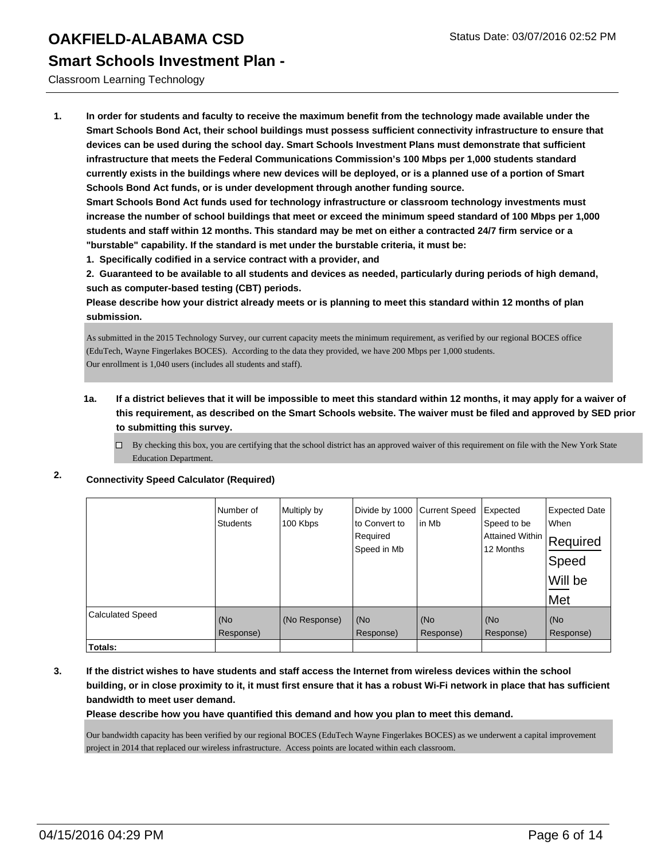**Smart Schools Investment Plan -**

Classroom Learning Technology

**1. In order for students and faculty to receive the maximum benefit from the technology made available under the Smart Schools Bond Act, their school buildings must possess sufficient connectivity infrastructure to ensure that devices can be used during the school day. Smart Schools Investment Plans must demonstrate that sufficient infrastructure that meets the Federal Communications Commission's 100 Mbps per 1,000 students standard currently exists in the buildings where new devices will be deployed, or is a planned use of a portion of Smart Schools Bond Act funds, or is under development through another funding source.**

**Smart Schools Bond Act funds used for technology infrastructure or classroom technology investments must increase the number of school buildings that meet or exceed the minimum speed standard of 100 Mbps per 1,000 students and staff within 12 months. This standard may be met on either a contracted 24/7 firm service or a "burstable" capability. If the standard is met under the burstable criteria, it must be:**

**1. Specifically codified in a service contract with a provider, and**

**2. Guaranteed to be available to all students and devices as needed, particularly during periods of high demand, such as computer-based testing (CBT) periods.**

**Please describe how your district already meets or is planning to meet this standard within 12 months of plan submission.**

As submitted in the 2015 Technology Survey, our current capacity meets the minimum requirement, as verified by our regional BOCES office (EduTech, Wayne Fingerlakes BOCES). According to the data they provided, we have 200 Mbps per 1,000 students. Our enrollment is 1,040 users (includes all students and staff).

- **1a. If a district believes that it will be impossible to meet this standard within 12 months, it may apply for a waiver of this requirement, as described on the Smart Schools website. The waiver must be filed and approved by SED prior to submitting this survey.**
	- $\Box$  By checking this box, you are certifying that the school district has an approved waiver of this requirement on file with the New York State Education Department.

#### **2. Connectivity Speed Calculator (Required)**

|                         | Number of<br><b>Students</b> | Multiply by<br>100 Kbps | Divide by 1000<br>to Convert to<br>Required<br>Speed in Mb | <b>Current Speed</b><br>in Mb | Expected<br>Speed to be<br><b>Attained Within</b><br>12 Months | <b>Expected Date</b><br>When<br>Required<br>Speed<br>Will be<br>Met |
|-------------------------|------------------------------|-------------------------|------------------------------------------------------------|-------------------------------|----------------------------------------------------------------|---------------------------------------------------------------------|
| <b>Calculated Speed</b> | (No<br>Response)             | (No Response)           | (No<br>Response)                                           | (No<br>Response)              | (No<br>Response)                                               | (No<br>Response)                                                    |
| Totals:                 |                              |                         |                                                            |                               |                                                                |                                                                     |

**3. If the district wishes to have students and staff access the Internet from wireless devices within the school building, or in close proximity to it, it must first ensure that it has a robust Wi-Fi network in place that has sufficient bandwidth to meet user demand.**

**Please describe how you have quantified this demand and how you plan to meet this demand.**

Our bandwidth capacity has been verified by our regional BOCES (EduTech Wayne Fingerlakes BOCES) as we underwent a capital improvement project in 2014 that replaced our wireless infrastructure. Access points are located within each classroom.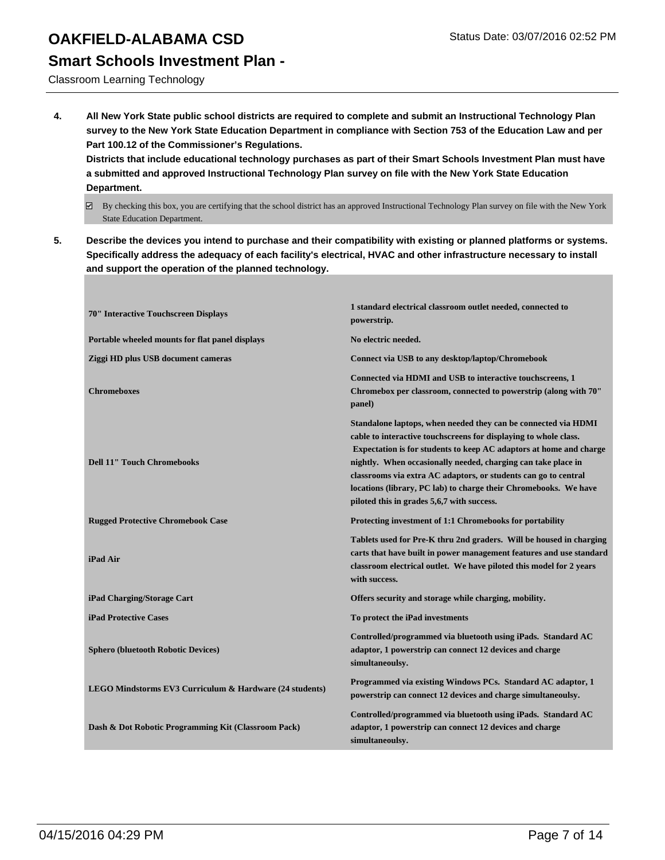#### **Smart Schools Investment Plan -**

Classroom Learning Technology

**4. All New York State public school districts are required to complete and submit an Instructional Technology Plan survey to the New York State Education Department in compliance with Section 753 of the Education Law and per Part 100.12 of the Commissioner's Regulations.**

**Districts that include educational technology purchases as part of their Smart Schools Investment Plan must have a submitted and approved Instructional Technology Plan survey on file with the New York State Education Department.**

- $\boxtimes$  By checking this box, you are certifying that the school district has an approved Instructional Technology Plan survey on file with the New York State Education Department.
- **5. Describe the devices you intend to purchase and their compatibility with existing or planned platforms or systems. Specifically address the adequacy of each facility's electrical, HVAC and other infrastructure necessary to install and support the operation of the planned technology.**

| 70" Interactive Touchscreen Displays                    | 1 standard electrical classroom outlet needed, connected to<br>powerstrip.                                                                                                                                                                                                                                                                                                                                                                                     |
|---------------------------------------------------------|----------------------------------------------------------------------------------------------------------------------------------------------------------------------------------------------------------------------------------------------------------------------------------------------------------------------------------------------------------------------------------------------------------------------------------------------------------------|
| Portable wheeled mounts for flat panel displays         | No electric needed.                                                                                                                                                                                                                                                                                                                                                                                                                                            |
| Ziggi HD plus USB document cameras                      | Connect via USB to any desktop/laptop/Chromebook                                                                                                                                                                                                                                                                                                                                                                                                               |
| <b>Chromeboxes</b>                                      | Connected via HDMI and USB to interactive touchscreens, 1<br>Chromebox per classroom, connected to powerstrip (along with 70"<br>panel)                                                                                                                                                                                                                                                                                                                        |
| <b>Dell 11" Touch Chromebooks</b>                       | Standalone laptops, when needed they can be connected via HDMI<br>cable to interactive touchscreens for displaying to whole class.<br>Expectation is for students to keep AC adaptors at home and charge<br>nightly. When occasionally needed, charging can take place in<br>classrooms via extra AC adaptors, or students can go to central<br>locations (library, PC lab) to charge their Chromebooks. We have<br>piloted this in grades 5,6,7 with success. |
| <b>Rugged Protective Chromebook Case</b>                | Protecting investment of 1:1 Chromebooks for portability                                                                                                                                                                                                                                                                                                                                                                                                       |
| iPad Air                                                | Tablets used for Pre-K thru 2nd graders. Will be housed in charging<br>carts that have built in power management features and use standard<br>classroom electrical outlet. We have piloted this model for 2 years<br>with success.                                                                                                                                                                                                                             |
| iPad Charging/Storage Cart                              | Offers security and storage while charging, mobility.                                                                                                                                                                                                                                                                                                                                                                                                          |
| <b>iPad Protective Cases</b>                            | To protect the iPad investments                                                                                                                                                                                                                                                                                                                                                                                                                                |
| <b>Sphero (bluetooth Robotic Devices)</b>               | Controlled/programmed via bluetooth using iPads. Standard AC<br>adaptor, 1 powerstrip can connect 12 devices and charge<br>simultaneoulsy.                                                                                                                                                                                                                                                                                                                     |
| LEGO Mindstorms EV3 Curriculum & Hardware (24 students) | Programmed via existing Windows PCs. Standard AC adaptor, 1<br>powerstrip can connect 12 devices and charge simultaneoulsy.                                                                                                                                                                                                                                                                                                                                    |
| Dash & Dot Robotic Programming Kit (Classroom Pack)     | Controlled/programmed via bluetooth using iPads. Standard AC<br>adaptor, 1 powerstrip can connect 12 devices and charge<br>simultaneoulsy.                                                                                                                                                                                                                                                                                                                     |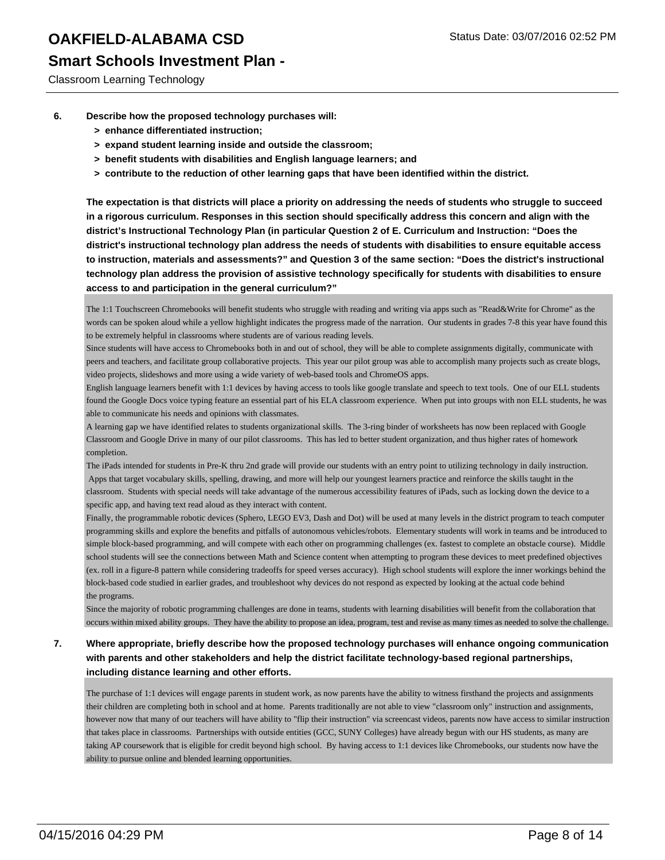### **Smart Schools Investment Plan -**

Classroom Learning Technology

- **6. Describe how the proposed technology purchases will:**
	- **> enhance differentiated instruction;**
	- **> expand student learning inside and outside the classroom;**
	- **> benefit students with disabilities and English language learners; and**
	- **> contribute to the reduction of other learning gaps that have been identified within the district.**

**The expectation is that districts will place a priority on addressing the needs of students who struggle to succeed in a rigorous curriculum. Responses in this section should specifically address this concern and align with the district's Instructional Technology Plan (in particular Question 2 of E. Curriculum and Instruction: "Does the district's instructional technology plan address the needs of students with disabilities to ensure equitable access to instruction, materials and assessments?" and Question 3 of the same section: "Does the district's instructional technology plan address the provision of assistive technology specifically for students with disabilities to ensure access to and participation in the general curriculum?"**

The 1:1 Touchscreen Chromebooks will benefit students who struggle with reading and writing via apps such as "Read&Write for Chrome" as the words can be spoken aloud while a yellow highlight indicates the progress made of the narration. Our students in grades 7-8 this year have found this to be extremely helpful in classrooms where students are of various reading levels.

Since students will have access to Chromebooks both in and out of school, they will be able to complete assignments digitally, communicate with peers and teachers, and facilitate group collaborative projects. This year our pilot group was able to accomplish many projects such as create blogs, video projects, slideshows and more using a wide variety of web-based tools and ChromeOS apps.

English language learners benefit with 1:1 devices by having access to tools like google translate and speech to text tools. One of our ELL students found the Google Docs voice typing feature an essential part of his ELA classroom experience. When put into groups with non ELL students, he was able to communicate his needs and opinions with classmates.

A learning gap we have identified relates to students organizational skills. The 3-ring binder of worksheets has now been replaced with Google Classroom and Google Drive in many of our pilot classrooms. This has led to better student organization, and thus higher rates of homework completion.

The iPads intended for students in Pre-K thru 2nd grade will provide our students with an entry point to utilizing technology in daily instruction. Apps that target vocabulary skills, spelling, drawing, and more will help our youngest learners practice and reinforce the skills taught in the classroom. Students with special needs will take advantage of the numerous accessibility features of iPads, such as locking down the device to a specific app, and having text read aloud as they interact with content.

Finally, the programmable robotic devices (Sphero, LEGO EV3, Dash and Dot) will be used at many levels in the district program to teach computer programming skills and explore the benefits and pitfalls of autonomous vehicles/robots. Elementary students will work in teams and be introduced to simple block-based programming, and will compete with each other on programming challenges (ex. fastest to complete an obstacle course). Middle school students will see the connections between Math and Science content when attempting to program these devices to meet predefined objectives (ex. roll in a figure-8 pattern while considering tradeoffs for speed verses accuracy). High school students will explore the inner workings behind the block-based code studied in earlier grades, and troubleshoot why devices do not respond as expected by looking at the actual code behind the programs.

Since the majority of robotic programming challenges are done in teams, students with learning disabilities will benefit from the collaboration that occurs within mixed ability groups. They have the ability to propose an idea, program, test and revise as many times as needed to solve the challenge.

#### **7. Where appropriate, briefly describe how the proposed technology purchases will enhance ongoing communication with parents and other stakeholders and help the district facilitate technology-based regional partnerships, including distance learning and other efforts.**

The purchase of 1:1 devices will engage parents in student work, as now parents have the ability to witness firsthand the projects and assignments their children are completing both in school and at home. Parents traditionally are not able to view "classroom only" instruction and assignments, however now that many of our teachers will have ability to "flip their instruction" via screencast videos, parents now have access to similar instruction that takes place in classrooms. Partnerships with outside entities (GCC, SUNY Colleges) have already begun with our HS students, as many are taking AP coursework that is eligible for credit beyond high school. By having access to 1:1 devices like Chromebooks, our students now have the ability to pursue online and blended learning opportunities.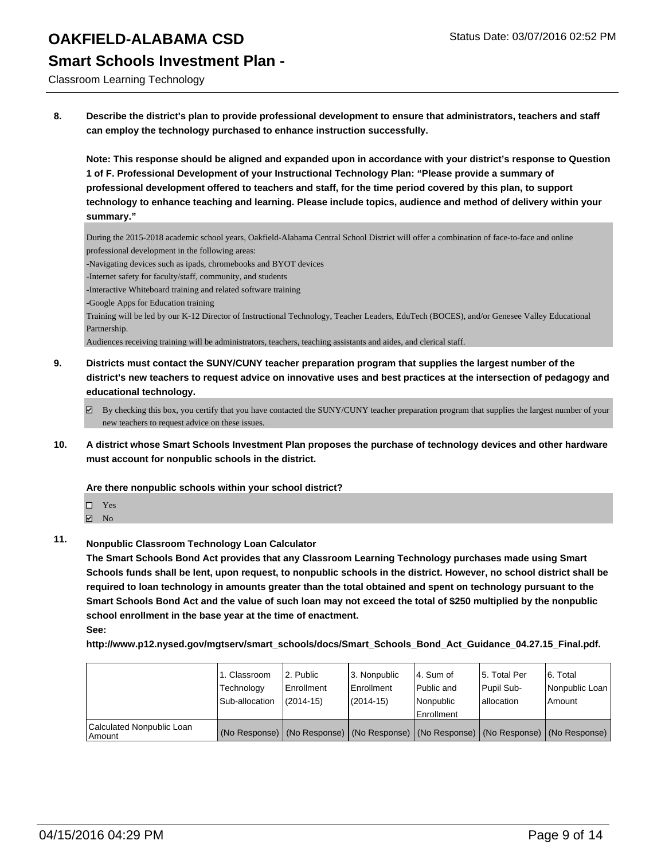Classroom Learning Technology

**8. Describe the district's plan to provide professional development to ensure that administrators, teachers and staff can employ the technology purchased to enhance instruction successfully.**

**Note: This response should be aligned and expanded upon in accordance with your district's response to Question 1 of F. Professional Development of your Instructional Technology Plan: "Please provide a summary of professional development offered to teachers and staff, for the time period covered by this plan, to support technology to enhance teaching and learning. Please include topics, audience and method of delivery within your summary."**

During the 2015-2018 academic school years, Oakfield-Alabama Central School District will offer a combination of face-to-face and online professional development in the following areas:

-Navigating devices such as ipads, chromebooks and BYOT devices

-Internet safety for faculty/staff, community, and students

-Interactive Whiteboard training and related software training

-Google Apps for Education training

Training will be led by our K-12 Director of Instructional Technology, Teacher Leaders, EduTech (BOCES), and/or Genesee Valley Educational Partnership.

Audiences receiving training will be administrators, teachers, teaching assistants and aides, and clerical staff.

- **9. Districts must contact the SUNY/CUNY teacher preparation program that supplies the largest number of the district's new teachers to request advice on innovative uses and best practices at the intersection of pedagogy and educational technology.**
	- $\boxtimes$  By checking this box, you certify that you have contacted the SUNY/CUNY teacher preparation program that supplies the largest number of your new teachers to request advice on these issues.
- **10. A district whose Smart Schools Investment Plan proposes the purchase of technology devices and other hardware must account for nonpublic schools in the district.**

**Are there nonpublic schools within your school district?**

- □ Yes
- $\boxtimes$  No
- **11. Nonpublic Classroom Technology Loan Calculator**

**The Smart Schools Bond Act provides that any Classroom Learning Technology purchases made using Smart Schools funds shall be lent, upon request, to nonpublic schools in the district. However, no school district shall be required to loan technology in amounts greater than the total obtained and spent on technology pursuant to the Smart Schools Bond Act and the value of such loan may not exceed the total of \$250 multiplied by the nonpublic school enrollment in the base year at the time of enactment. See:**

**http://www.p12.nysed.gov/mgtserv/smart\_schools/docs/Smart\_Schools\_Bond\_Act\_Guidance\_04.27.15\_Final.pdf.**

|                                         | 1. Classroom<br>Technology<br>Sub-allocation | l 2. Public<br>Enrollment<br>$(2014 - 15)$ | 3. Nonpublic<br><b>Enrollment</b><br>$(2014 - 15)$ | l 4. Sum of<br>l Public and<br>l Nonpublic<br>Enrollment | 5. Total Per<br>Pupil Sub-<br>lallocation | 6. Total<br>Nonpublic Loan  <br>Amount                                                        |
|-----------------------------------------|----------------------------------------------|--------------------------------------------|----------------------------------------------------|----------------------------------------------------------|-------------------------------------------|-----------------------------------------------------------------------------------------------|
| Calculated Nonpublic Loan<br>l Amount i |                                              |                                            |                                                    |                                                          |                                           | (No Response)   (No Response)   (No Response)   (No Response)   (No Response)   (No Response) |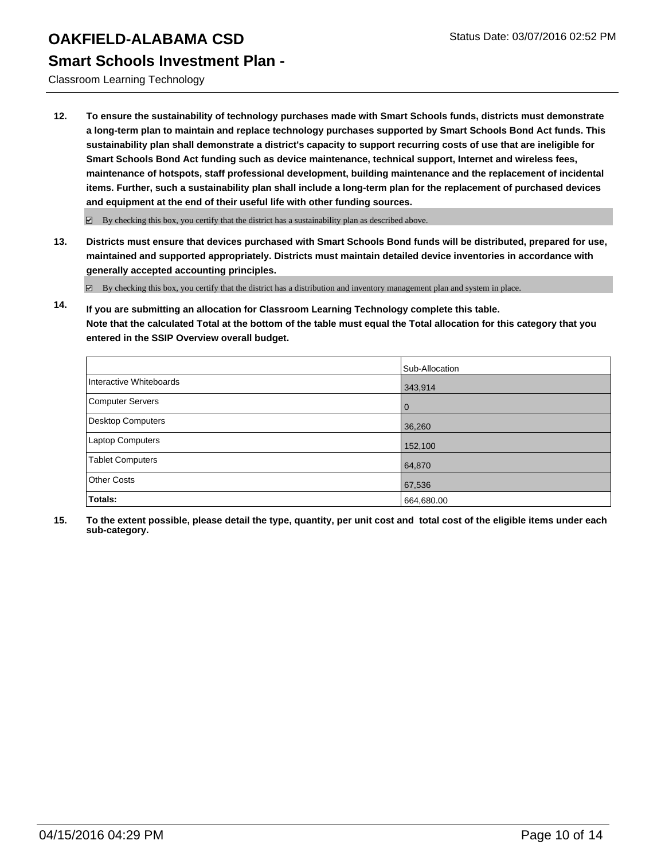Classroom Learning Technology

**12. To ensure the sustainability of technology purchases made with Smart Schools funds, districts must demonstrate a long-term plan to maintain and replace technology purchases supported by Smart Schools Bond Act funds. This sustainability plan shall demonstrate a district's capacity to support recurring costs of use that are ineligible for Smart Schools Bond Act funding such as device maintenance, technical support, Internet and wireless fees, maintenance of hotspots, staff professional development, building maintenance and the replacement of incidental items. Further, such a sustainability plan shall include a long-term plan for the replacement of purchased devices and equipment at the end of their useful life with other funding sources.**

 $\boxdot$  By checking this box, you certify that the district has a sustainability plan as described above.

**13. Districts must ensure that devices purchased with Smart Schools Bond funds will be distributed, prepared for use, maintained and supported appropriately. Districts must maintain detailed device inventories in accordance with generally accepted accounting principles.**

By checking this box, you certify that the district has a distribution and inventory management plan and system in place.

**14. If you are submitting an allocation for Classroom Learning Technology complete this table. Note that the calculated Total at the bottom of the table must equal the Total allocation for this category that you entered in the SSIP Overview overall budget.**

|                          | Sub-Allocation |
|--------------------------|----------------|
| Interactive Whiteboards  | 343,914        |
| <b>Computer Servers</b>  | $\mathbf 0$    |
| <b>Desktop Computers</b> | 36,260         |
| Laptop Computers         | 152,100        |
| <b>Tablet Computers</b>  | 64,870         |
| <b>Other Costs</b>       | 67,536         |
| Totals:                  | 664,680.00     |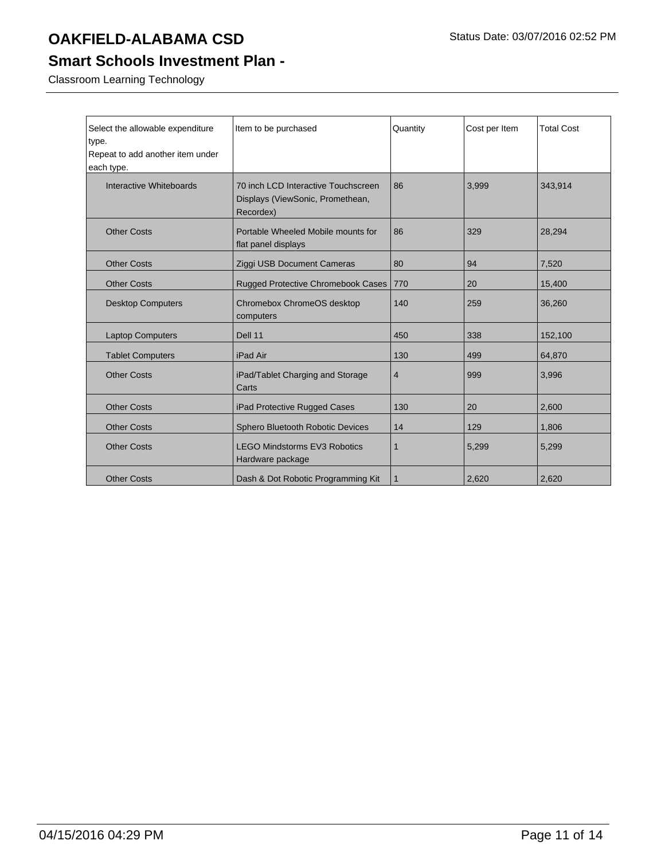### **Smart Schools Investment Plan -**

Classroom Learning Technology

| Select the allowable expenditure | Item to be purchased                | Quantity       | Cost per Item | <b>Total Cost</b> |
|----------------------------------|-------------------------------------|----------------|---------------|-------------------|
| type.                            |                                     |                |               |                   |
| Repeat to add another item under |                                     |                |               |                   |
| each type.                       |                                     |                |               |                   |
| Interactive Whiteboards          | 70 inch LCD Interactive Touchscreen | 86             | 3,999         | 343,914           |
|                                  | Displays (ViewSonic, Promethean,    |                |               |                   |
|                                  | Recordex)                           |                |               |                   |
| <b>Other Costs</b>               | Portable Wheeled Mobile mounts for  | 86             | 329           | 28,294            |
|                                  | flat panel displays                 |                |               |                   |
| <b>Other Costs</b>               | Ziggi USB Document Cameras          | 80             | 94            | 7,520             |
| <b>Other Costs</b>               | Rugged Protective Chromebook Cases  | 770            | 20            | 15,400            |
| <b>Desktop Computers</b>         | Chromebox ChromeOS desktop          | 140            | 259           | 36,260            |
|                                  | computers                           |                |               |                   |
| <b>Laptop Computers</b>          | Dell 11                             | 450            | 338           | 152,100           |
| <b>Tablet Computers</b>          | iPad Air                            | 130            | 499           | 64,870            |
| <b>Other Costs</b>               | iPad/Tablet Charging and Storage    | $\overline{4}$ | 999           | 3,996             |
|                                  | Carts                               |                |               |                   |
| <b>Other Costs</b>               | iPad Protective Rugged Cases        | 130            | 20            | 2,600             |
| <b>Other Costs</b>               | Sphero Bluetooth Robotic Devices    | 14             | 129           | 1,806             |
| <b>Other Costs</b>               | <b>LEGO Mindstorms EV3 Robotics</b> | 1              | 5,299         | 5,299             |
|                                  | Hardware package                    |                |               |                   |
| <b>Other Costs</b>               | Dash & Dot Robotic Programming Kit  | 1              | 2,620         | 2,620             |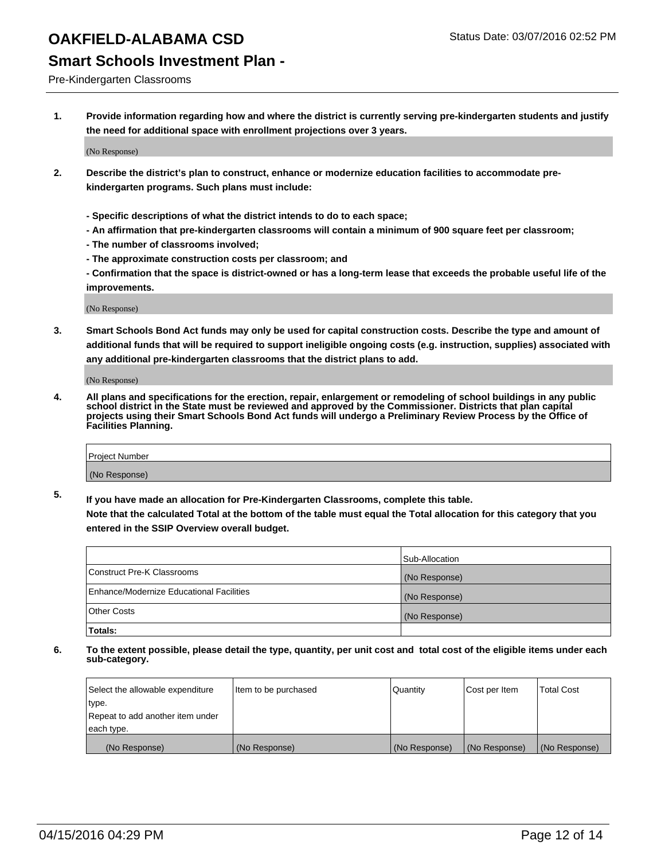#### **Smart Schools Investment Plan -**

Pre-Kindergarten Classrooms

**1. Provide information regarding how and where the district is currently serving pre-kindergarten students and justify the need for additional space with enrollment projections over 3 years.**

(No Response)

- **2. Describe the district's plan to construct, enhance or modernize education facilities to accommodate prekindergarten programs. Such plans must include:**
	- **Specific descriptions of what the district intends to do to each space;**
	- **An affirmation that pre-kindergarten classrooms will contain a minimum of 900 square feet per classroom;**
	- **The number of classrooms involved;**
	- **The approximate construction costs per classroom; and**
	- **Confirmation that the space is district-owned or has a long-term lease that exceeds the probable useful life of the improvements.**

(No Response)

**3. Smart Schools Bond Act funds may only be used for capital construction costs. Describe the type and amount of additional funds that will be required to support ineligible ongoing costs (e.g. instruction, supplies) associated with any additional pre-kindergarten classrooms that the district plans to add.**

(No Response)

**4. All plans and specifications for the erection, repair, enlargement or remodeling of school buildings in any public school district in the State must be reviewed and approved by the Commissioner. Districts that plan capital projects using their Smart Schools Bond Act funds will undergo a Preliminary Review Process by the Office of Facilities Planning.**

| Project Number |  |
|----------------|--|
| (No Response)  |  |

**5. If you have made an allocation for Pre-Kindergarten Classrooms, complete this table. Note that the calculated Total at the bottom of the table must equal the Total allocation for this category that you**

**entered in the SSIP Overview overall budget.**

|                                          | Sub-Allocation |
|------------------------------------------|----------------|
| Construct Pre-K Classrooms               | (No Response)  |
| Enhance/Modernize Educational Facilities | (No Response)  |
| Other Costs                              | (No Response)  |
| <b>Totals:</b>                           |                |

| Select the allowable expenditure | Item to be purchased | Quantity      | Cost per Item | <b>Total Cost</b> |
|----------------------------------|----------------------|---------------|---------------|-------------------|
| type.                            |                      |               |               |                   |
| Repeat to add another item under |                      |               |               |                   |
| each type.                       |                      |               |               |                   |
| (No Response)                    | (No Response)        | (No Response) | (No Response) | (No Response)     |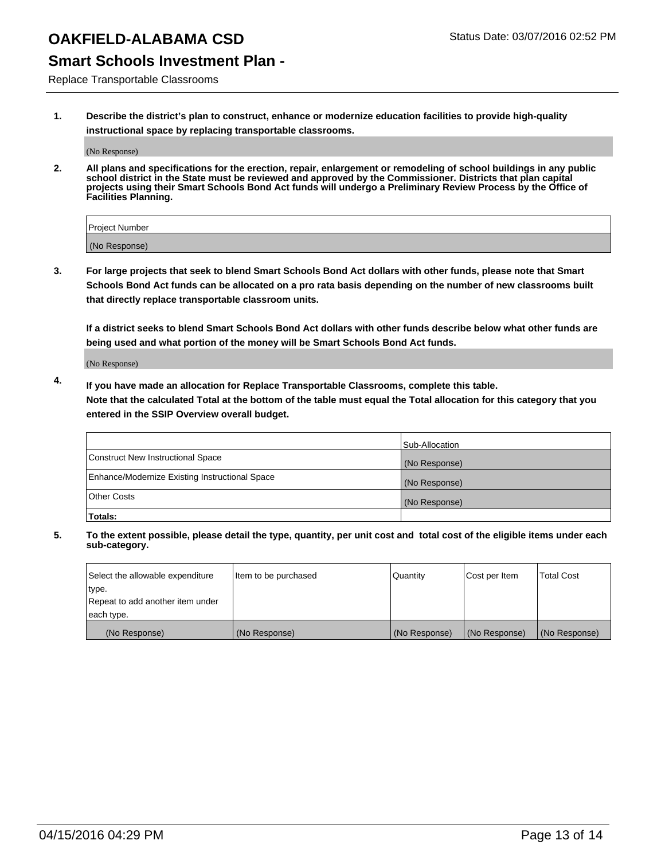### **Smart Schools Investment Plan -**

Replace Transportable Classrooms

**1. Describe the district's plan to construct, enhance or modernize education facilities to provide high-quality instructional space by replacing transportable classrooms.**

(No Response)

**2. All plans and specifications for the erection, repair, enlargement or remodeling of school buildings in any public school district in the State must be reviewed and approved by the Commissioner. Districts that plan capital projects using their Smart Schools Bond Act funds will undergo a Preliminary Review Process by the Office of Facilities Planning.**

| Project Number |  |
|----------------|--|
| (No Response)  |  |

**3. For large projects that seek to blend Smart Schools Bond Act dollars with other funds, please note that Smart Schools Bond Act funds can be allocated on a pro rata basis depending on the number of new classrooms built that directly replace transportable classroom units.**

**If a district seeks to blend Smart Schools Bond Act dollars with other funds describe below what other funds are being used and what portion of the money will be Smart Schools Bond Act funds.**

(No Response)

**4. If you have made an allocation for Replace Transportable Classrooms, complete this table. Note that the calculated Total at the bottom of the table must equal the Total allocation for this category that you entered in the SSIP Overview overall budget.**

|                                                | Sub-Allocation |
|------------------------------------------------|----------------|
| Construct New Instructional Space              | (No Response)  |
| Enhance/Modernize Existing Instructional Space | (No Response)  |
| <b>Other Costs</b>                             | (No Response)  |
| Totals:                                        |                |

| Select the allowable expenditure | Item to be purchased | Quantity      | Cost per Item | <b>Total Cost</b> |
|----------------------------------|----------------------|---------------|---------------|-------------------|
| type.                            |                      |               |               |                   |
| Repeat to add another item under |                      |               |               |                   |
| each type.                       |                      |               |               |                   |
| (No Response)                    | (No Response)        | (No Response) | (No Response) | (No Response)     |